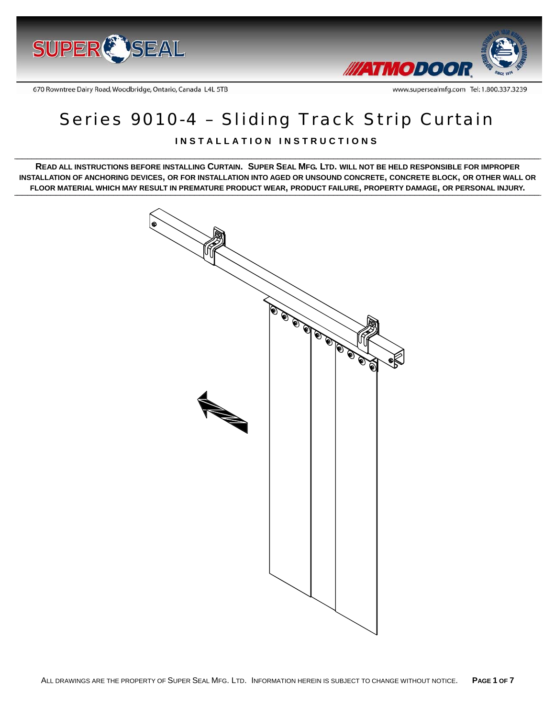



www.supersealmfg.com Tel: 1.800.337.3239

670 Rowntree Dairy Road, Woodbridge, Ontario, Canada L4L 5TB

# Series 9010-4 – Sliding Track Strip Curtain

# **INSTALLATION INSTRUCTIONS**

**READ ALL INSTRUCTIONS BEFORE INSTALLING CURTAIN. SUPER SEAL MFG. LTD. WILL NOT BE HELD RESPONSIBLE FOR IMPROPER INSTALLATION OF ANCHORING DEVICES, OR FOR INSTALLATION INTO AGED OR UNSOUND CONCRETE, CONCRETE BLOCK, OR OTHER WALL OR FLOOR MATERIAL WHICH MAY RESULT IN PREMATURE PRODUCT WEAR, PRODUCT FAILURE, PROPERTY DAMAGE, OR PERSONAL INJURY.** 

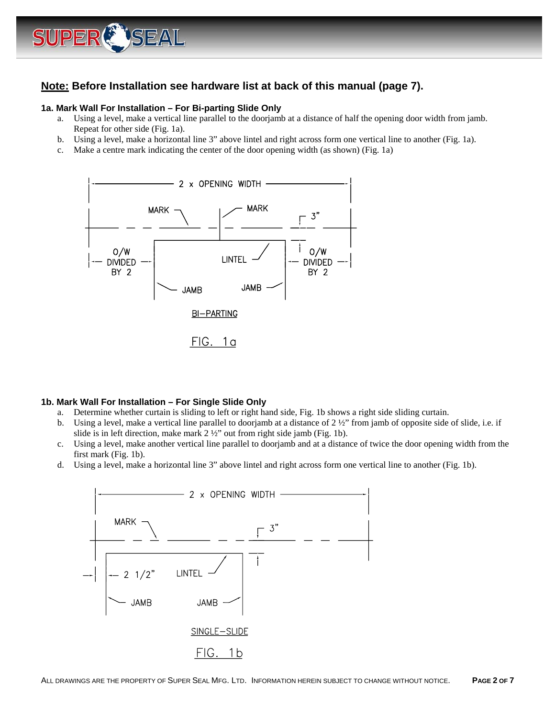

# **Note: Before Installation see hardware list at back of this manual (page 7).**

#### **1a. Mark Wall For Installation – For Bi-parting Slide Only**

- a. Using a level, make a vertical line parallel to the doorjamb at a distance of half the opening door width from jamb. Repeat for other side (Fig. 1a).
- b. Using a level, make a horizontal line 3" above lintel and right across form one vertical line to another (Fig. 1a).
- c. Make a centre mark indicating the center of the door opening width (as shown) (Fig. 1a)



#### **1b. Mark Wall For Installation – For Single Slide Only**

- a. Determine whether curtain is sliding to left or right hand side, Fig. 1b shows a right side sliding curtain.
- b. Using a level, make a vertical line parallel to doorjamb at a distance of  $2\frac{1}{2}$ " from jamb of opposite side of slide, i.e. if slide is in left direction, make mark 2 ½" out from right side jamb (Fig. 1b).
- c. Using a level, make another vertical line parallel to doorjamb and at a distance of twice the door opening width from the first mark (Fig. 1b).
- d. Using a level, make a horizontal line 3" above lintel and right across form one vertical line to another (Fig. 1b).

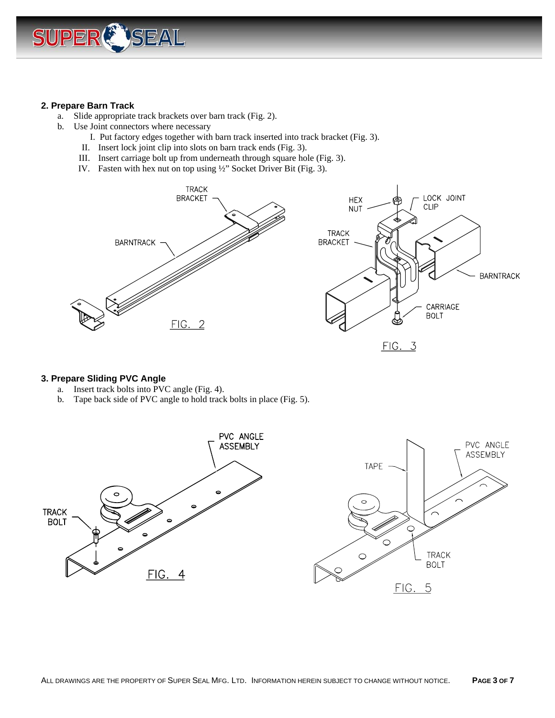

#### **2. Prepare Barn Track**

- a. Slide appropriate track brackets over barn track (Fig. 2).
- b. Use Joint connectors where necessary
	- I. Put factory edges together with barn track inserted into track bracket (Fig. 3).
	- II. Insert lock joint clip into slots on barn track ends (Fig. 3).
	- III. Insert carriage bolt up from underneath through square hole (Fig. 3).
	- IV. Fasten with hex nut on top using ½" Socket Driver Bit (Fig. 3).





#### **3. Prepare Sliding PVC Angle**

- a. Insert track bolts into PVC angle (Fig. 4).
- b. Tape back side of PVC angle to hold track bolts in place (Fig. 5).

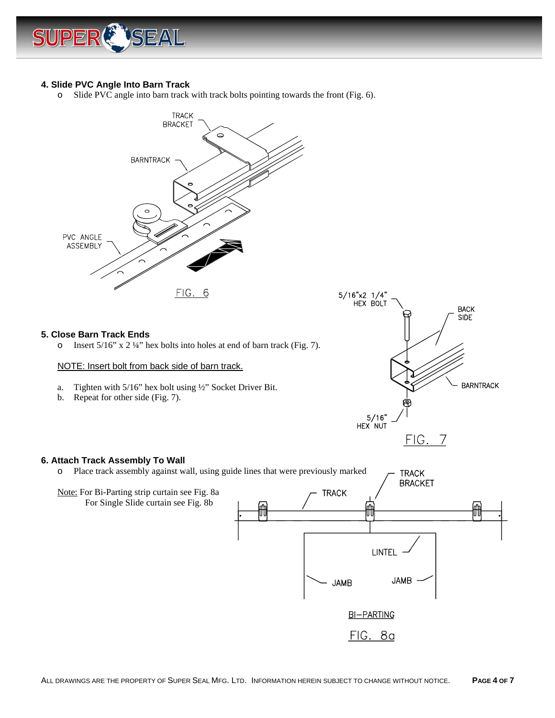

## **4. Slide PVC Angle Into Barn Track**

o Slide PVC angle into barn track with track bolts pointing towards the front (Fig. 6).



#### **6. Attach Track Assembly To Wall**

o Place track assembly against wall, using guide lines that were previously marked **TRACK BRACKET** Note: For Bi-Parting strip curtain see Fig. 8a **TRACK**  For Single Slide curtain see Fig. 8b ÍĤ LINTEL

ĤĤ

**JAMB** 

**JAMB** 

**BI-PARTING** 

FIG. 8a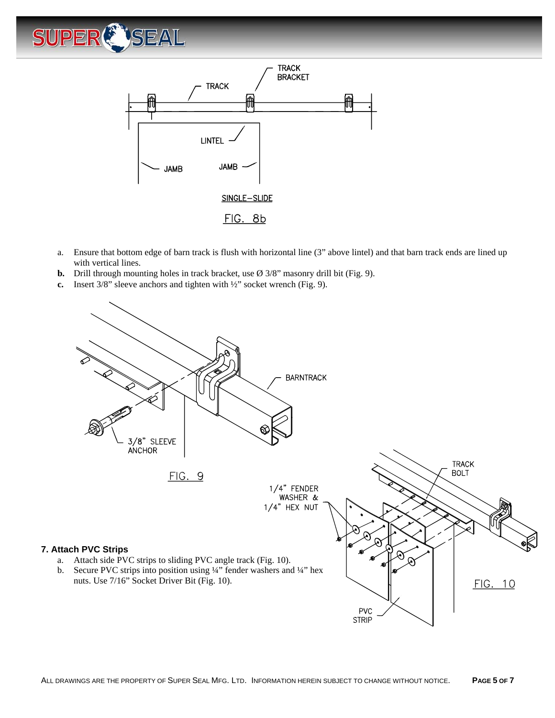



- a. Ensure that bottom edge of barn track is flush with horizontal line (3" above lintel) and that barn track ends are lined up with vertical lines.
- **b.** Drill through mounting holes in track bracket, use Ø 3/8" masonry drill bit (Fig. 9).
- **c.** Insert 3/8" sleeve anchors and tighten with ½" socket wrench (Fig. 9).

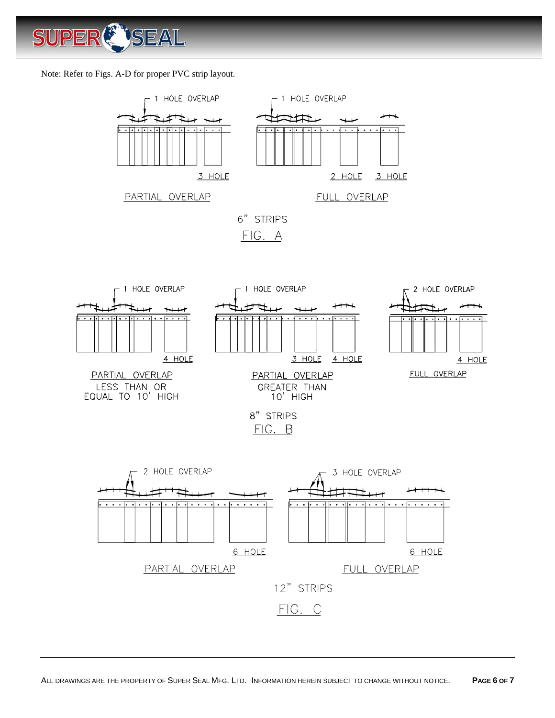

Note: Refer to Figs. A-D for proper PVC strip layout.